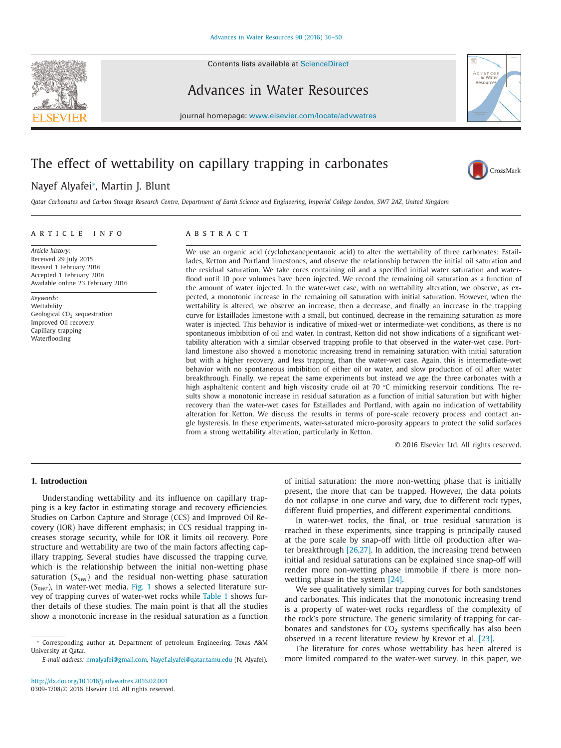Contents lists available at [ScienceDirect](http://www.ScienceDirect.com)





journal homepage: [www.elsevier.com/locate/advwatres](http://www.elsevier.com/locate/advwatres)

# The effect of wettability on capillary trapping in carbonates

# Nayef Alyafei<sup>∗</sup> , Martin J. Blunt



Advance Resource

Qatar Carbonates and Carbon Storage Research Centre, Department of Earth Science and Engineering, Imperial College London, SW7 2AZ, United Kingdom

# a r t i c l e i n f o

*Article history:* Received 29 July 2015 Revised 1 February 2016 Accepted 1 February 2016 Available online 23 February 2016

*Keywords:* **Wettability** Geological CO<sub>2</sub> sequestration Improved Oil recovery Capillary trapping Waterflooding

# A B S T R A C T

We use an organic acid (cyclohexanepentanoic acid) to alter the wettability of three carbonates: Estaillades, Ketton and Portland limestones, and observe the relationship between the initial oil saturation and the residual saturation. We take cores containing oil and a specified initial water saturation and waterflood until 10 pore volumes have been injected. We record the remaining oil saturation as a function of the amount of water injected. In the water-wet case, with no wettability alteration, we observe, as expected, a monotonic increase in the remaining oil saturation with initial saturation. However, when the wettability is altered, we observe an increase, then a decrease, and finally an increase in the trapping curve for Estaillades limestone with a small, but continued, decrease in the remaining saturation as more water is injected. This behavior is indicative of mixed-wet or intermediate-wet conditions, as there is no spontaneous imbibition of oil and water. In contrast, Ketton did not show indications of a significant wettability alteration with a similar observed trapping profile to that observed in the water-wet case. Portland limestone also showed a monotonic increasing trend in remaining saturation with initial saturation but with a higher recovery, and less trapping, than the water-wet case. Again, this is intermediate-wet behavior with no spontaneous imbibition of either oil or water, and slow production of oil after water breakthrough. Finally, we repeat the same experiments but instead we age the three carbonates with a high asphaltenic content and high viscosity crude oil at 70 °C mimicking reservoir conditions. The results show a monotonic increase in residual saturation as a function of initial saturation but with higher recovery than the water-wet cases for Estaillades and Portland, with again no indication of wettability alteration for Ketton. We discuss the results in terms of pore-scale recovery process and contact angle hysteresis. In these experiments, water-saturated micro-porosity appears to protect the solid surfaces from a strong wettability alteration, particularly in Ketton.

© 2016 Elsevier Ltd. All rights reserved.

# **1. Introduction**

Understanding wettability and its influence on capillary trapping is a key factor in estimating storage and recovery efficiencies. Studies on Carbon Capture and Storage (CCS) and Improved Oil Recovery (IOR) have different emphasis; in CCS residual trapping increases storage security, while for IOR it limits oil recovery. Pore structure and wettability are two of the main factors affecting capillary trapping. Several studies have discussed the trapping curve, which is the relationship between the initial non-wetting phase saturation (*Snwi*) and the residual non-wetting phase saturation (*Snwr*), in water-wet media. [Fig.](#page-1-0) 1 shows a selected literature survey of trapping curves of water-wet rocks while [Table](#page-1-0) 1 shows further details of these studies. The main point is that all the studies show a monotonic increase in the residual saturation as a function of initial saturation: the more non-wetting phase that is initially present, the more that can be trapped. However, the data points do not collapse in one curve and vary, due to different rock types, different fluid properties, and different experimental conditions.

In water-wet rocks, the final, or true residual saturation is reached in these experiments, since trapping is principally caused at the pore scale by snap-off with little oil production after water breakthrough [\[26,27\].](#page-14-0) In addition, the increasing trend between initial and residual saturations can be explained since snap-off will render more non-wetting phase immobile if there is more nonwetting phase in the system [\[24\].](#page-14-0)

We see qualitatively similar trapping curves for both sandstones and carbonates. This indicates that the monotonic increasing trend is a property of water-wet rocks regardless of the complexity of the rock's pore structure. The generic similarity of trapping for carbonates and sandstones for  $CO<sub>2</sub>$  systems specifically has also been observed in a recent literature review by Krevor et al. [\[23\].](#page-14-0)

The literature for cores whose wettability has been altered is more limited compared to the water-wet survey. In this paper, we

<sup>∗</sup> Corresponding author at. Department of petroleum Engineering, Texas A&M University at Qatar.

*E-mail address:* [nmalyafei@gmail.com,](mailto:nmalyafei@gmail.com) [Nayef.alyafei@qatar.tamu.edu](mailto:Nayef.alyafei@qatar.tamu.edu) (N. Alyafei).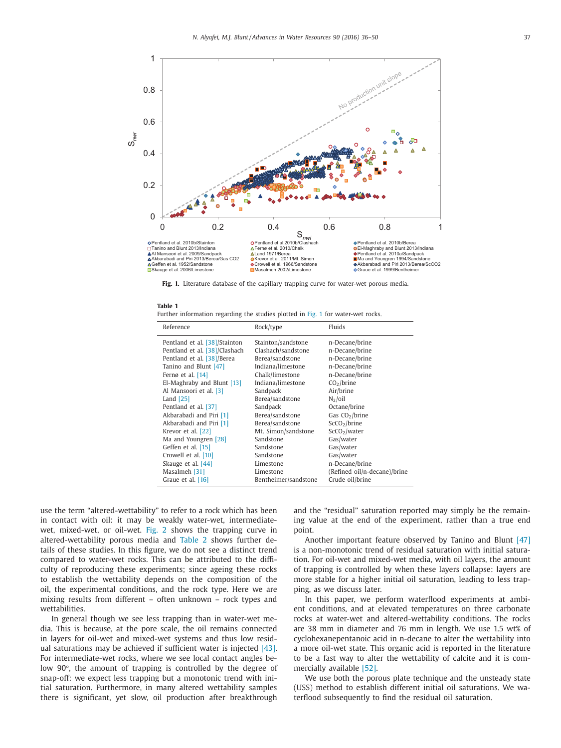<span id="page-1-0"></span>

**Fig. 1.** Literature database of the capillary trapping curve for water-wet porous media.

| Further information regarding the studies plotted in Fig. 1 for water-wet rocks. |                                          |                                  |  |  |  |
|----------------------------------------------------------------------------------|------------------------------------------|----------------------------------|--|--|--|
| Reference                                                                        | Rock/type                                | Fluids                           |  |  |  |
| Pentland et al. [38]/Stainton<br>Pentland et al. [38]/Clashach                   | Stainton/sandstone<br>Clashach/sandstone | n-Decane/brine<br>n-Decane/brine |  |  |  |

| Pentland et al. [38]/Stainton | Stainton/sandstone   | n-Decane/brine               |
|-------------------------------|----------------------|------------------------------|
| Pentland et al. [38]/Clashach | Clashach/sandstone   | n-Decane/brine               |
| Pentland et al. [38]/Berea    | Berea/sandstone      | n-Decane/brine               |
| Tanino and Blunt [47]         | Indiana/limestone    | n-Decane/brine               |
| Fernø et al. [14]             | Chalk/limestone      | n-Decane/brine               |
| El-Maghraby and Blunt [13]    | Indiana/limestone    | CO <sub>2</sub> /brine       |
| Al Mansoori et al. [3]        | Sandpack             | Air/brine                    |
| Land $[25]$                   | Berea/sandstone      | N <sub>2</sub> /oil          |
| Pentland et al. [37]          | Sandpack             | Octane/brine                 |
| Akbarabadi and Piri [1]       | Berea/sandstone      | Gas $CO2/brine$              |
| Akbarabadi and Piri [1]       | Berea/sandstone      | ScCO <sub>2</sub> /brine     |
| Krevor et al. [22]            | Mt. Simon/sandstone  | ScCO <sub>2</sub> /water     |
| Ma and Youngren [28]          | Sandstone            | Gas/water                    |
| Geffen et al. [15]            | Sandstone            | Gas/water                    |
| Crowell et al. [10]           | Sandstone            | Gas/water                    |
| Skauge et al. [44]            | Limestone            | n-Decane/brine               |
| Masalmeh [31]                 | Limestone            | (Refined oil/n-decane)/brine |
| Graue et al. [16]             | Bentheimer/sandstone | Crude oil/brine              |

use the term "altered-wettability" to refer to a rock which has been in contact with oil: it may be weakly water-wet, intermediatewet, mixed-wet, or oil-wet. [Fig.](#page-2-0) 2 shows the trapping curve in altered-wettability porous media and [Table](#page-2-0) 2 shows further details of these studies. In this figure, we do not see a distinct trend compared to water-wet rocks. This can be attributed to the difficulty of reproducing these experiments; since ageing these rocks to establish the wettability depends on the composition of the oil, the experimental conditions, and the rock type. Here we are mixing results from different – often unknown – rock types and wettabilities.

**Table 1**

In general though we see less trapping than in water-wet media. This is because, at the pore scale, the oil remains connected in layers for oil-wet and mixed-wet systems and thus low residual saturations may be achieved if sufficient water is injected [\[43\].](#page-14-0) For intermediate-wet rocks, where we see local contact angles below 90°, the amount of trapping is controlled by the degree of snap-off: we expect less trapping but a monotonic trend with initial saturation. Furthermore, in many altered wettability samples there is significant, yet slow, oil production after breakthrough

and the "residual" saturation reported may simply be the remaining value at the end of the experiment, rather than a true end point.

Another important feature observed by Tanino and Blunt [\[47\]](#page-14-0) is a non-monotonic trend of residual saturation with initial saturation. For oil-wet and mixed-wet media, with oil layers, the amount of trapping is controlled by when these layers collapse: layers are more stable for a higher initial oil saturation, leading to less trapping, as we discuss later.

In this paper, we perform waterflood experiments at ambient conditions, and at elevated temperatures on three carbonate rocks at water-wet and altered-wettability conditions. The rocks are 38 mm in diameter and 76 mm in length. We use 1.5 wt% of cyclohexanepentanoic acid in n-decane to alter the wettability into a more oil-wet state. This organic acid is reported in the literature to be a fast way to alter the wettability of calcite and it is commercially available [\[52\].](#page-14-0)

We use both the porous plate technique and the unsteady state (USS) method to establish different initial oil saturations. We waterflood subsequently to find the residual oil saturation.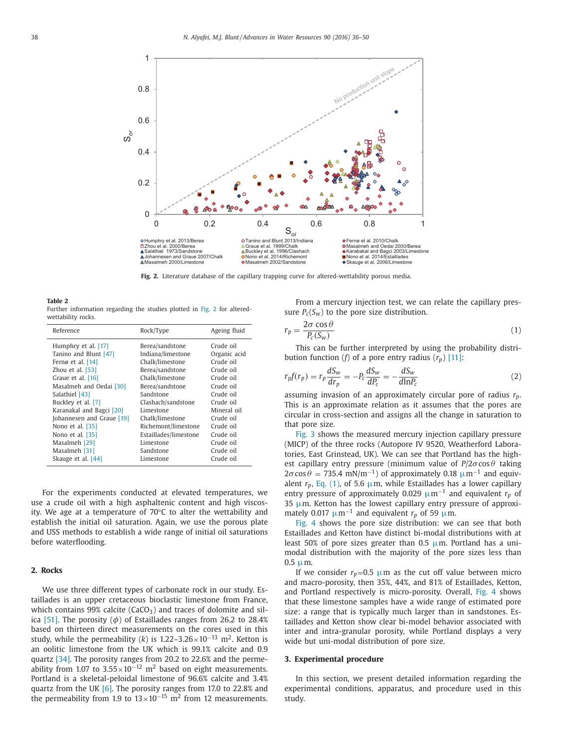<span id="page-2-0"></span>

**Fig. 2.** Literature database of the capillary trapping curve for altered-wettability porous media.

#### **Table 2**

Further information regarding the studies plotted in Fig. 2 for alteredwettability rocks.

| Reference                 | Rock/Type             | Ageing fluid |
|---------------------------|-----------------------|--------------|
| Humphry et al. [17]       | Berea/sandstone       | Crude oil    |
| Tanino and Blunt [47]     | Indiana/limestone     | Organic acid |
| Fernø et al. [14]         | Chalk/limestone       | Crude oil    |
| Zhou et al. [53]          | Berea/sandstone       | Crude oil    |
| Graue et al. [16]         | Chalk/limestone       | Crude oil    |
| Masalmeh and Oedai [30]   | Berea/sandstone       | Crude oil    |
| Salathiel [43]            | Sandstone             | Crude oil    |
| Buckley et al. [7]        | Clashach/sandstone    | Crude oil    |
| Karanakal and Bagci [20]  | Limestone             | Mineral oil  |
| Johannesen and Graue [19] | Chalk/limestone       | Crude oil    |
| Nono et al. [35]          | Richemont/limestone   | Crude oil    |
| Nono et al. [35]          | Estaillades/limestone | Crude oil    |
| Masalmeh [29]             | Limestone             | Crude oil    |
| Masalmeh [31]             | Sandstone             | Crude oil    |
| Skauge et al. [44]        | Limestone             | Crude oil    |

For the experiments conducted at elevated temperatures, we use a crude oil with a high asphaltenic content and high viscosity. We age at a temperature of 70°C to alter the wettability and establish the initial oil saturation. Again, we use the porous plate and USS methods to establish a wide range of initial oil saturations before waterflooding.

# **2. Rocks**

We use three different types of carbonate rock in our study. Estaillades is an upper cretaceous bioclastic limestone from France, which contains 99% calcite (CaCO<sub>3</sub>) and traces of dolomite and sil-ica [\[51\].](#page-14-0) The porosity  $(\phi)$  of Estaillades ranges from 26.2 to 28.4% based on thirteen direct measurements on the cores used in this study, while the permeability (*k*) is 1.22–3.26×10−<sup>13</sup> <sup>m</sup>2. Ketton is an oolitic limestone from the UK which is 99.1% calcite and 0.9 quartz [\[34\].](#page-14-0) The porosity ranges from 20.2 to 22.6% and the permeability from 1.07 to  $3.55 \times 10^{-12}$  m<sup>2</sup> based on eight measurements. Portland is a skeletal-peloidal limestone of 96.6% calcite and 3.4% quartz from the UK  $[6]$ . The porosity ranges from 17.0 to 22.8% and the permeability from 1.9 to  $13\times10^{-15}$  m<sup>2</sup> from 12 measurements.

From a mercury injection test, we can relate the capillary pressure  $P_c(S_w)$  to the pore size distribution.

$$
r_p = \frac{2\sigma \cos \theta}{P_c(S_w)}\tag{1}
$$

This can be further interpreted by using the probability distribution function (*f*) of a pore entry radius  $(r_p)$  [\[11\]:](#page-13-0)

$$
r_p f(r_p) = r_p \frac{dS_w}{dr_p} = -P_c \frac{dS_w}{dP_c} = -\frac{dS_w}{d\ln P_c}
$$
\n(2)

assuming invasion of an approximately circular pore of radius *rp*. This is an approximate relation as it assumes that the pores are circular in cross-section and assigns all the change in saturation to that pore size.

[Fig.](#page-3-0) 3 shows the measured mercury injection capillary pressure (MICP) of the three rocks (Autopore IV 9520, Weatherford Laboratories, East Grinstead, UK). We can see that Portland has the highest capillary entry pressure (minimum value of *P*/2σcos θ taking  $2\sigma\cos\theta = 735.4 \text{ mN/m}^{-1}$  of approximately 0.18  $\mu$ m<sup>-1</sup> and equivalent  $r_p$ , Eq. (1), of 5.6  $\mu$ m, while Estaillades has a lower capillary entry pressure of approximately 0.029  $\mu$ m<sup>-1</sup> and equivalent  $r_p$  of 35  $\mu$ m. Ketton has the lowest capillary entry pressure of approximately 0.017  $\mu$ m<sup>-1</sup> and equivalent  $r_p$  of 59  $\mu$ m.

[Fig.](#page-3-0) 4 shows the pore size distribution: we can see that both Estaillades and Ketton have distinct bi-modal distributions with at least 50% of pore sizes greater than 0.5  $\mu$ m. Portland has a unimodal distribution with the majority of the pore sizes less than  $0.5 \mu m$ .

If we consider  $r_p=0.5 \mu m$  as the cut off value between micro and macro-porosity, then 35%, 44%, and 81% of Estaillades, Ketton, and Portland respectively is micro-porosity. Overall, [Fig.](#page-3-0) 4 shows that these limestone samples have a wide range of estimated pore size: a range that is typically much larger than in sandstones. Estaillades and Ketton show clear bi-model behavior associated with inter and intra-granular porosity, while Portland displays a very wide but uni-modal distribution of pore size.

### **3. Experimental procedure**

In this section, we present detailed information regarding the experimental conditions, apparatus, and procedure used in this study.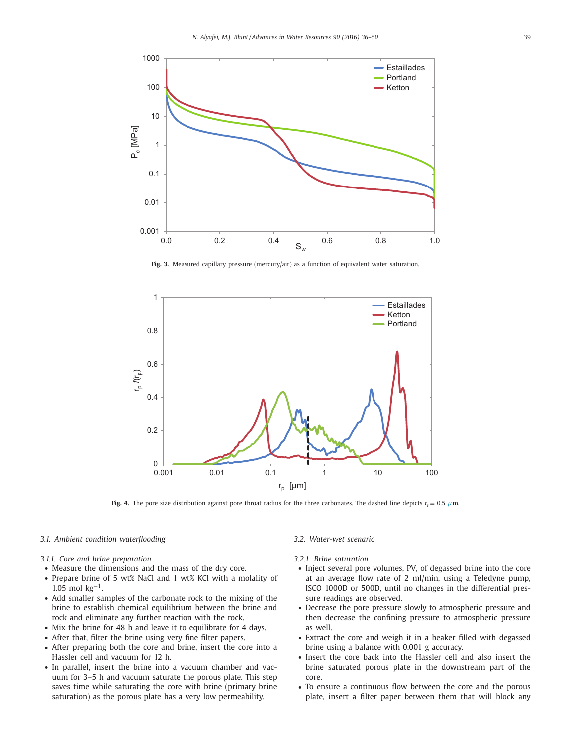<span id="page-3-0"></span>

**Fig. 3.** Measured capillary pressure (mercury/air) as a function of equivalent water saturation.



**Fig. 4.** The pore size distribution against pore throat radius for the three carbonates. The dashed line depicts  $r_p = 0.5 \mu \text{m}$ .

# *3.1. Ambient condition waterflooding*

# *3.1.1. Core and brine preparation*

- Measure the dimensions and the mass of the dry core.
- Prepare brine of 5 wt% NaCl and 1 wt% KCl with a molality of  $1.05$  mol kg<sup>-1</sup>.
- Add smaller samples of the carbonate rock to the mixing of the brine to establish chemical equilibrium between the brine and rock and eliminate any further reaction with the rock.
- Mix the brine for 48 h and leave it to equilibrate for 4 days.
- After that, filter the brine using very fine filter papers.
- After preparing both the core and brine, insert the core into a Hassler cell and vacuum for 12 h.
- In parallel, insert the brine into a vacuum chamber and vacuum for 3–5 h and vacuum saturate the porous plate. This step saves time while saturating the core with brine (primary brine saturation) as the porous plate has a very low permeability.

# *3.2. Water-wet scenario*

*3.2.1. Brine saturation*

- Inject several pore volumes, PV, of degassed brine into the core at an average flow rate of 2 ml/min, using a Teledyne pump, ISCO 1000D or 500D, until no changes in the differential pressure readings are observed.
- Decrease the pore pressure slowly to atmospheric pressure and then decrease the confining pressure to atmospheric pressure as well.
- Extract the core and weigh it in a beaker filled with degassed brine using a balance with 0.001 g accuracy.
- Insert the core back into the Hassler cell and also insert the brine saturated porous plate in the downstream part of the core.
- To ensure a continuous flow between the core and the porous plate, insert a filter paper between them that will block any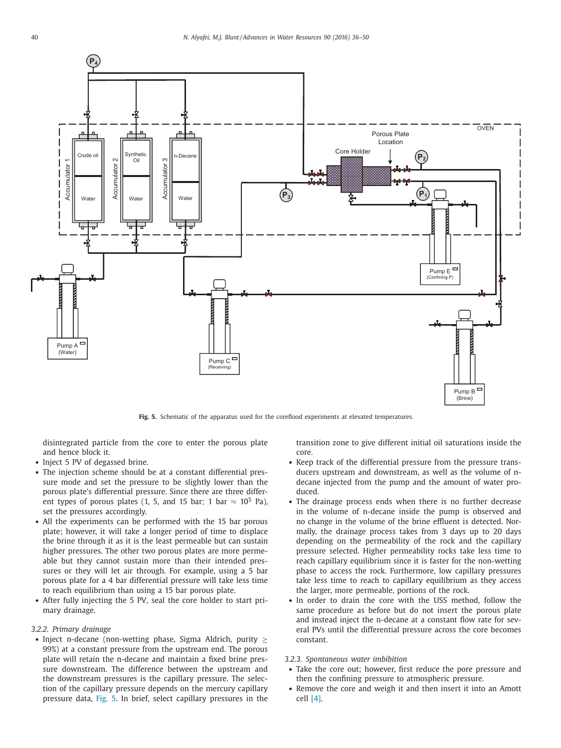<span id="page-4-0"></span>

**Fig. 5.** Schematic of the apparatus used for the coreflood experiments at elevated temperatures.

disintegrated particle from the core to enter the porous plate and hence block it.

- Inject 5 PV of degassed brine.
- The injection scheme should be at a constant differential pressure mode and set the pressure to be slightly lower than the porous plate's differential pressure. Since there are three different types of porous plates (1, 5, and 15 bar; 1 bar  $\approx 10^5$  Pa), set the pressures accordingly.
- All the experiments can be performed with the 15 bar porous plate; however, it will take a longer period of time to displace the brine through it as it is the least permeable but can sustain higher pressures. The other two porous plates are more permeable but they cannot sustain more than their intended pressures or they will let air through. For example, using a 5 bar porous plate for a 4 bar differential pressure will take less time to reach equilibrium than using a 15 bar porous plate.
- After fully injecting the 5 PV, seal the core holder to start primary drainage.

## *3.2.2. Primary drainage*

• Inject n-decane (non-wetting phase, Sigma Aldrich, purity  $\geq$ 99%) at a constant pressure from the upstream end. The porous plate will retain the n-decane and maintain a fixed brine pressure downstream. The difference between the upstream and the downstream pressures is the capillary pressure. The selection of the capillary pressure depends on the mercury capillary pressure data, Fig. 5. In brief, select capillary pressures in the transition zone to give different initial oil saturations inside the core.

- Keep track of the differential pressure from the pressure transducers upstream and downstream, as well as the volume of ndecane injected from the pump and the amount of water produced.
- The drainage process ends when there is no further decrease in the volume of n-decane inside the pump is observed and no change in the volume of the brine effluent is detected. Normally, the drainage process takes from 3 days up to 20 days depending on the permeability of the rock and the capillary pressure selected. Higher permeability rocks take less time to reach capillary equilibrium since it is faster for the non-wetting phase to access the rock. Furthermore, low capillary pressures take less time to reach to capillary equilibrium as they access the larger, more permeable, portions of the rock.
- In order to drain the core with the USS method, follow the same procedure as before but do not insert the porous plate and instead inject the n-decane at a constant flow rate for several PVs until the differential pressure across the core becomes constant.

# *3.2.3. Spontaneous water imbibition*

- Take the core out; however, first reduce the pore pressure and then the confining pressure to atmospheric pressure.
- Remove the core and weigh it and then insert it into an Amott cell [\[4\].](#page-13-0)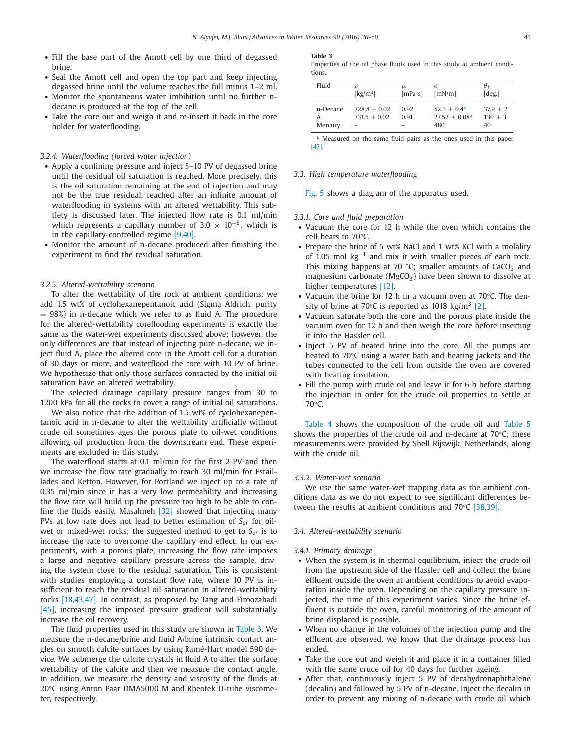- <span id="page-5-0"></span>• Fill the base part of the Amott cell by one third of degassed brine.
- Seal the Amott cell and open the top part and keep injecting degassed brine until the volume reaches the full minus 1–2 ml.
- Monitor the spontaneous water imbibition until no further ndecane is produced at the top of the cell.
- Take the core out and weigh it and re-insert it back in the core holder for waterflooding.

#### *3.2.4. Waterflooding (forced water injection)*

- Apply a confining pressure and inject 5–10 PV of degassed brine until the residual oil saturation is reached. More precisely, this is the oil saturation remaining at the end of injection and may not be the true residual, reached after an infinite amount of waterflooding in systems with an altered wettability. This subtlety is discussed later. The injected flow rate is 0.1 ml/min which represents a capillary number of 3.0  $\times$  10<sup>-8</sup>, which is in the capillary-controlled regime [\[9,40\].](#page-13-0)
- Monitor the amount of n-decane produced after finishing the experiment to find the residual saturation.

#### *3.2.5. Altered-wettability scenario*

To alter the wettability of the rock at ambient conditions, we add 1.5 wt% of cyclohexanepentanoic acid (Sigma Aldrich, purity  $= 98\%$ ) in n-decane which we refer to as fluid A. The procedure for the altered-wettability coreflooding experiments is exactly the same as the water-wet experiments discussed above; however, the only differences are that instead of injecting pure n-decane, we inject fluid A, place the altered core in the Amott cell for a duration of 30 days or more, and waterflood the core with 10 PV of brine. We hypothesize that only those surfaces contacted by the initial oil saturation have an altered wettability.

The selected drainage capillary pressure ranges from 30 to 1200 kPa for all the rocks to cover a range of initial oil saturations.

We also notice that the addition of 1.5 wt% of cyclohexanepentanoic acid in n-decane to alter the wettability artificially without crude oil sometimes ages the porous plate to oil-wet conditions allowing oil production from the downstream end. These experiments are excluded in this study.

The waterflood starts at 0.1 ml/min for the first 2 PV and then we increase the flow rate gradually to reach 30 ml/min for Estaillades and Ketton. However, for Portland we inject up to a rate of 0.35 ml/min since it has a very low permeability and increasing the flow rate will build up the pressure too high to be able to confine the fluids easily. Masalmeh [\[32\]](#page-14-0) showed that injecting many PVs at low rate does not lead to better estimation of  $S_{or}$  for oilwet or mixed-wet rocks; the suggested method to get to  $S_{or}$  is to increase the rate to overcome the capillary end effect. In our experiments, with a porous plate, increasing the flow rate imposes a large and negative capillary pressure across the sample, driving the system close to the residual saturation. This is consistent with studies employing a constant flow rate, where 10 PV is insufficient to reach the residual oil saturation in altered-wettability rocks [\[18,43,47\].](#page-14-0) In contrast, as proposed by Tang and Firoozabadi [\[45\],](#page-14-0) increasing the imposed pressure gradient will substantially increase the oil recovery.

The fluid properties used in this study are shown in Table 3. We measure the n-decane/brine and fluid A/brine intrinsic contact angles on smooth calcite surfaces by using Ramé-Hart model 590 device. We submerge the calcite crystals in fluid A to alter the surface wettability of the calcite and then we measure the contact angle. In addition, we measure the density and viscosity of the fluids at 20°C using Anton Paar DMA5000 M and Rheotek U-tube viscometer, respectively.

### **Table 3**

Properties of the oil phase fluids used in this study at ambient conditions.

| Fluid                    | D                                   | μ            | $\sigma$                                | $\theta_I$                   |
|--------------------------|-------------------------------------|--------------|-----------------------------------------|------------------------------|
|                          | [ $kg/m3$ ]                         | [mPa s]      | [mN/m]                                  | [deg.]                       |
| n-Decane<br>Α<br>Mercury | $7288 + 0.02$<br>$7315 + 0.02$<br>- | 0.92<br>O 91 | $52.3 + 0.4a$<br>$27.52 + 0.08a$<br>480 | $379 + 2$<br>$130 + 3$<br>40 |

<sup>a</sup> Measured on the same fluid pairs as the ones used in this paper [\[47\].](#page-14-0)

#### *3.3. High temperature waterflooding*

[Fig.](#page-4-0) 5 shows a diagram of the apparatus used.

*3.3.1. Core and fluid preparation*

- Vacuum the core for 12 h while the oven which contains the cell heats to 70°C.
- Prepare the brine of 5 wt% NaCl and 1 wt% KCl with a molality of 1.05 mol  $kg^{-1}$  and mix it with smaller pieces of each rock. This mixing happens at 70 °C; smaller amounts of  $CaCO<sub>3</sub>$  and magnesium carbonate ( $MgCO<sub>3</sub>$ ) have been shown to dissolve at higher temperatures [\[12\].](#page-13-0)
- Vacuum the brine for 12 h in a vacuum oven at 70 $\degree$ C. The density of brine at 70 $\degree$ C is reported as 1018 kg/m<sup>3</sup> [\[2\].](#page-13-0)
- Vacuum saturate both the core and the porous plate inside the vacuum oven for 12 h and then weigh the core before inserting it into the Hassler cell.
- Inject 5 PV of heated brine into the core. All the pumps are heated to 70°C using a water bath and heating jackets and the tubes connected to the cell from outside the oven are covered with heating insulation.
- Fill the pump with crude oil and leave it for 6 h before starting the injection in order for the crude oil properties to settle at 70°C.

[Table](#page-6-0) 4 shows the composition of the crude oil and [Table](#page-6-0) 5 shows the properties of the crude oil and n-decane at 70°C; these measurements were provided by Shell Rijswijk, Netherlands, along with the crude oil.

#### *3.3.2. Water-wet scenario*

We use the same water-wet trapping data as the ambient conditions data as we do not expect to see significant differences between the results at ambient conditions and 70°C [\[38,39\].](#page-14-0)

#### *3.4. Altered-wettability scenario*

#### *3.4.1. Primary drainage*

- When the system is in thermal equilibrium, inject the crude oil from the upstream side of the Hassler cell and collect the brine effluent outside the oven at ambient conditions to avoid evaporation inside the oven. Depending on the capillary pressure injected, the time of this experiment varies. Since the brine effluent is outside the oven, careful monitoring of the amount of brine displaced is possible.
- When no change in the volumes of the injection pump and the effluent are observed, we know that the drainage process has ended.
- Take the core out and weigh it and place it in a container filled with the same crude oil for 40 days for further ageing.
- After that, continuously inject 5 PV of decahydronaphthalene (decalin) and followed by 5 PV of n-decane. Inject the decalin in order to prevent any mixing of n-decane with crude oil which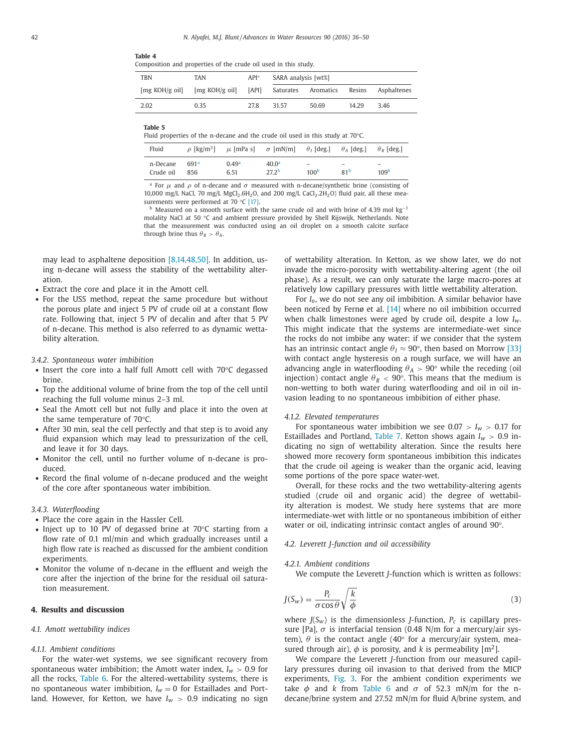| Composition and properties of the crude oil used in this study. |                                                    |       |           |           |        |             |  |  |  |
|-----------------------------------------------------------------|----------------------------------------------------|-------|-----------|-----------|--------|-------------|--|--|--|
| <b>TBN</b>                                                      | SARA analysis [wt%]<br>$API^{\circ}$<br><b>TAN</b> |       |           |           |        |             |  |  |  |
| [mg KOH/g oil]                                                  | [mg KOH/g oil]                                     | [API] | Saturates | Aromatics | Resins | Asphaltenes |  |  |  |
| 2.02                                                            | 0.35                                               | 27.8  | 3157      | 50.69     | 14 29  | 3.46        |  |  |  |

**Table 5**

<span id="page-6-0"></span>**Table 4**

Fluid properties of the n-decane and the crude oil used in this study at 70°C.

| Fluid     | $\rho$ [kg/m <sup>3</sup> ] | $\mu$ [mPa s]     | $\sigma$ [mN/m]   | $\theta_I$ [deg.]        | $\theta_A$ [deg.] | $\theta_R$ [deg.] |
|-----------|-----------------------------|-------------------|-------------------|--------------------------|-------------------|-------------------|
| n-Decane  | 691 <sup>a</sup>            | 0.49 <sup>a</sup> | 40.0 <sup>a</sup> | $\overline{\phantom{0}}$ |                   |                   |
| Crude oil | 856                         | 6.51              | 27.2 <sup>b</sup> | 100 <sup>b</sup>         | 81 <sup>b</sup>   | 109 <sup>b</sup>  |

<sup>a</sup> For  $\mu$  and  $\rho$  of n-decane and  $\sigma$  measured with n-decane/synthetic brine (consisting of 10,000 mg/L NaCl, 70 mg/L MgCl<sub>2</sub>.6H<sub>2</sub>O, and 200 mg/L CaCl<sub>2</sub>.2H<sub>2</sub>O) fluid pair, all these measurements were performed at 70  $°C$  [\[17\].](#page-14-0)

<sup>b</sup> Measured on a smooth surface with the same crude oil and with brine of 4.39 mol kg<sup>-1</sup> molality NaCl at 50 °C and ambient pressure provided by Shell Rijswijk, Netherlands. Note that the measurement was conducted using an oil droplet on a smooth calcite surface through brine thus  $\theta_R > \theta_A$ .

may lead to asphaltene deposition [\[8,14,48,50\].](#page-13-0) In addition, using n-decane will assess the stability of the wettability alteration.

- Extract the core and place it in the Amott cell.
- For the USS method, repeat the same procedure but without the porous plate and inject 5 PV of crude oil at a constant flow rate. Following that, inject 5 PV of decalin and after that 5 PV of n-decane. This method is also referred to as dynamic wettability alteration.

*3.4.2. Spontaneous water imbibition*

- Insert the core into a half full Amott cell with 70°C degassed brine.
- Top the additional volume of brine from the top of the cell until reaching the full volume minus 2–3 ml.
- Seal the Amott cell but not fully and place it into the oven at the same temperature of 70°C.
- After 30 min, seal the cell perfectly and that step is to avoid any fluid expansion which may lead to pressurization of the cell, and leave it for 30 days.
- Monitor the cell, until no further volume of n-decane is produced.
- Record the final volume of n-decane produced and the weight of the core after spontaneous water imbibition.

#### *3.4.3. Waterflooding*

- Place the core again in the Hassler Cell.
- Inject up to 10 PV of degassed brine at 70°C starting from a flow rate of 0.1 ml/min and which gradually increases until a high flow rate is reached as discussed for the ambient condition experiments.
- Monitor the volume of n-decane in the effluent and weigh the core after the injection of the brine for the residual oil saturation measurement.

#### **4. Results and discussion**

#### *4.1. Amott wettability indices*

#### *4.1.1. Ambient conditions*

For the water-wet systems, we see significant recovery from spontaneous water imbibition; the Amott water index,  $I_w > 0.9$  for all the rocks, [Table](#page-7-0) 6. For the altered-wettability systems, there is no spontaneous water imbibition,  $I_w = 0$  for Estaillades and Portland. However, for Ketton, we have  $I_w > 0.9$  indicating no sign of wettability alteration. In Ketton, as we show later, we do not invade the micro-porosity with wettability-altering agent (the oil phase). As a result, we can only saturate the large macro-pores at relatively low capillary pressures with little wettability alteration.

For *Io*, we do not see any oil imbibition. A similar behavior have been noticed by Fernø et al. [\[14\]](#page-13-0) where no oil imbibition occurred when chalk limestones were aged by crude oil, despite a low *Iw*. This might indicate that the systems are intermediate-wet since the rocks do not imbibe any water: if we consider that the system has an intrinsic contact angle  $\theta_I \approx 90^\circ$ , then based on Morrow [\[33\]](#page-14-0) with contact angle hysteresis on a rough surface, we will have an advancing angle in waterflooding  $\theta_A > 90^\circ$  while the receding (oil injection) contact angle  $\theta_R$  < 90°. This means that the medium is non-wetting to both water during waterflooding and oil in oil invasion leading to no spontaneous imbibition of either phase.

## *4.1.2. Elevated temperatures*

For spontaneous water imbibition we see  $0.07 > I_w > 0.17$  for Estaillades and Portland, [Table](#page-7-0) 7. Ketton shows again  $I_w > 0.9$  indicating no sign of wettability alteration. Since the results here showed more recovery form spontaneous imbibition this indicates that the crude oil ageing is weaker than the organic acid, leaving some portions of the pore space water-wet.

Overall, for these rocks and the two wettability-altering agents studied (crude oil and organic acid) the degree of wettability alteration is modest. We study here systems that are more intermediate-wet with little or no spontaneous imbibition of either water or oil, indicating intrinsic contact angles of around 90°.

## *4.2. Leverett J-function and oil accessibility*

#### *4.2.1. Ambient conditions*

We compute the Leverett *J*-function which is written as follows:

$$
J(S_w) = \frac{P_c}{\sigma \cos \theta} \sqrt{\frac{k}{\phi}}
$$
 (3)

where  $J(S_w)$  is the dimensionless *J*-function,  $P_c$  is capillary pressure [Pa],  $\sigma$  is interfacial tension (0.48 N/m for a mercury/air system),  $\theta$  is the contact angle (40 $\degree$  for a mercury/air system, measured through air),  $\phi$  is porosity, and *k* is permeability  $[m^2]$ .

We compare the Leverett *J*-function from our measured capillary pressures during oil invasion to that derived from the MICP experiments, [Fig.](#page-3-0) 3. For the ambient condition experiments we take  $\phi$  and *k* from [Table](#page-7-0) 6 and  $\sigma$  of 52.3 mN/m for the ndecane/brine system and 27.52 mN/m for fluid A/brine system, and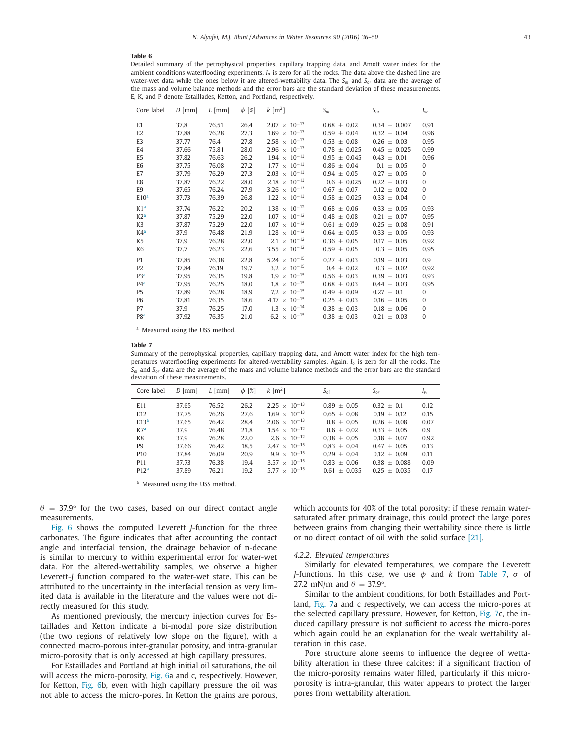#### <span id="page-7-0"></span>**Table 6**

Detailed summary of the petrophysical properties, capillary trapping data, and Amott water index for the ambient conditions waterflooding experiments. *Io* is zero for all the rocks. The data above the dashed line are water-wet data while the ones below it are altered-wettability data. The *Soi* and *Sor* data are the average of the mass and volume balance methods and the error bars are the standard deviation of these measurements. E, K, and P denote Estaillades, Ketton, and Portland, respectively.

| Core label       | $D$ [mm] | $L$ [mm] | $\phi$ [%] | $k \, \mathrm{[m^2]}$          | $S_{oi}$         | $S_{or}$        | $I_w$        |
|------------------|----------|----------|------------|--------------------------------|------------------|-----------------|--------------|
| E1               | 37.8     | 76.51    | 26.4       | $2.07 \times 10^{-13}$         | $0.68 + 0.02$    | $0.34 + 0.007$  | 0.91         |
| E <sub>2</sub>   | 37.88    | 76.28    | 27.3       | $1.69 \times 10^{-13}$         | $0.59 + 0.04$    | $0.32 + 0.04$   | 0.96         |
| E <sub>3</sub>   | 37.77    | 76.4     | 27.8       | $2.58 \times 10^{-13}$         | $0.53 + 0.08$    | $0.26 + 0.03$   | 0.95         |
| E4               | 37.66    | 75.81    | 28.0       | $2.96 \times 10^{-13}$         | $0.78 \pm 0.025$ | $0.45 + 0.025$  | 0.99         |
| E <sub>5</sub>   | 37.82    | 76.63    | 26.2       | $1.94 \times 10^{-13}$         | $0.95 + 0.045$   | $0.43 + 0.01$   | 0.96         |
| E <sub>6</sub>   | 37.75    | 76.08    | 27.2       | $1.77 \times 10^{-13}$         | $0.86 \pm 0.04$  | $0.1 \pm 0.05$  | $\Omega$     |
| E7               | 37.79    | 76.29    | 27.3       | $2.03 \times 10^{-13}$         | $0.94 \pm 0.05$  | $0.27 \pm 0.05$ | $\mathbf{0}$ |
| E <sub>8</sub>   | 37.87    | 76.22    | 28.0       | $2.18 \times 10^{-13}$         | $0.6 + 0.025$    | $0.22 + 0.03$   | $\Omega$     |
| E9               | 37.65    | 76.24    | 27.9       | $3.26 \times 10^{-13}$         | $0.67 + 0.07$    | $0.12 + 0.02$   | $\Omega$     |
| E10 <sup>a</sup> | 37.73    | 76.39    | 26.8       | $1.22 \times 10^{-13}$         | $0.58 \pm 0.025$ | $0.33 \pm 0.04$ | $\Omega$     |
| K1 <sup>a</sup>  | 37.74    | 76.22    | 20.2       | $1.38 \times 10^{-12}$         | $0.68 \pm 0.06$  | $0.33 + 0.05$   | 0.93         |
| K2 <sup>a</sup>  | 37.87    | 75.29    | 22.0       | $1.07 \times 10^{-12}$         | $0.48 \pm 0.08$  | $0.21 + 0.07$   | 0.95         |
| K <sub>3</sub>   | 37.87    | 75.29    | 22.0       | $1.07 \times 10^{-12}$         | $0.61 + 0.09$    | $0.25 + 0.08$   | 0.91         |
| K4 <sup>a</sup>  | 37.9     | 76.48    | 21.9       | $1.28 \times 10^{-12}$         | $0.64 \pm 0.05$  | $0.33 + 0.05$   | 0.93         |
| K <sub>5</sub>   | 37.9     | 76.28    | 22.0       | $2.1 \times 10^{-12}$          | $0.36 \pm 0.05$  | $0.17 + 0.05$   | 0.92         |
| K <sub>6</sub>   | 37.7     | 76.23    | 22.6       | $3.55 \times 10^{-12}$         | $0.59 \pm 0.05$  | $0.3 + 0.05$    | 0.95         |
| P1               | 37.85    | 76.38    | 22.8       | $5.24 \times 10^{-15}$         | $0.27 + 0.03$    | $0.19 + 0.03$   | 0.9          |
| P <sub>2</sub>   | 37.84    | 76.19    | 19.7       | $3.2 \times 10^{-15}$          | $0.4 + 0.02$     | $0.3 + 0.02$    | 0.92         |
| P3 <sup>a</sup>  | 37.95    | 76.35    | 19.8       | $1.9 \times 10^{-15}$          | $0.56 \pm 0.03$  | $0.39 \pm 0.03$ | 0.93         |
| P4 <sup>a</sup>  | 37.95    | 76.25    | 18.0       | $1.8 \times 10^{-15}$          | $0.68 \pm 0.03$  | $0.44 + 0.03$   | 0.95         |
| <b>P5</b>        | 37.89    | 76.28    | 18.9       | 7.2 $\times$ 10 <sup>-15</sup> | $0.49 + 0.09$    | $0.27 + 0.1$    | $\Omega$     |
| P <sub>6</sub>   | 37.81    | 76.35    | 18.6       | $4.17 \times 10^{-15}$         | $0.25 + 0.03$    | $0.16 + 0.05$   | $\Omega$     |
| P7               | 37.9     | 76.25    | 17.0       | $1.3 \times 10^{-14}$          | $0.38 \pm 0.03$  | $0.18 \pm 0.06$ | $\mathbf{0}$ |
| P <sub>8</sub> a | 37.92    | 76.35    | 21.0       | $6.2 \times 10^{-15}$          | $0.38 + 0.03$    | $0.21 + 0.03$   | $\Omega$     |

<sup>a</sup> Measured using the USS method.

#### **Table 7**

Summary of the petrophysical properties, capillary trapping data, and Amott water index for the high temperatures waterflooding experiments for altered-wettability samples. Again, *Io* is zero for all the rocks. The *Soi* and *Sor* data are the average of the mass and volume balance methods and the error bars are the standard deviation of these measurements.

| Core label       | $D$ [mm] | $L$ [mm] | $\phi$ [%] | $k \lfloor m^2 \rfloor$ | $S_{oi}$        | $S_{or}$       | $I_w$ |
|------------------|----------|----------|------------|-------------------------|-----------------|----------------|-------|
| E11              | 37.65    | 76.52    | 26.2       | $2.25 \times 10^{-13}$  | $0.89 \pm 0.05$ | $0.32 \pm 0.1$ | 0.12  |
| E12              | 37.75    | 76.26    | 27.6       | $1.69 \times 10^{-13}$  | $0.65 + 0.08$   | $0.19 + 0.12$  | 0.15  |
| E13 <sup>a</sup> | 37.65    | 76.42    | 28.4       | $2.06 \times 10^{-13}$  | $0.8 + 0.05$    | $0.26 + 0.08$  | 0.07  |
| K7 <sup>a</sup>  | 37.9     | 76.48    | 21.8       | $1.54 \times 10^{-12}$  | $0.6 + 0.02$    | $0.33 + 0.05$  | 0.9   |
| K8               | 37.9     | 76.28    | 22.0       | $2.6 \times 10^{-12}$   | $0.38 + 0.05$   | $0.18 + 0.07$  | 0.92  |
| P <sub>9</sub>   | 37.66    | 76.42    | 18.5       | $2.47 \times 10^{-15}$  | $0.83 + 0.04$   | $0.47 + 0.05$  | 0.13  |
| P <sub>10</sub>  | 37.84    | 76.09    | 20.9       | $9.9 \times 10^{-15}$   | $0.29 + 0.04$   | $0.12 + 0.09$  | 0.11  |
| P <sub>11</sub>  | 37.73    | 76.38    | 19.4       | $3.57 \times 10^{-15}$  | $0.83 + 0.06$   | $0.38 + 0.088$ | 0.09  |
| P12 <sup>a</sup> | 37.89    | 76.21    | 19.2       | $5.77 \times 10^{-15}$  | $0.61 + 0.035$  | $0.25 + 0.035$ | 0.17  |

<sup>a</sup> Measured using the USS method.

 $\theta$  = 37.9° for the two cases, based on our direct contact angle measurements.

[Fig.](#page-8-0) 6 shows the computed Leverett *J*-function for the three carbonates. The figure indicates that after accounting the contact angle and interfacial tension, the drainage behavior of n-decane is similar to mercury to within experimental error for water-wet data. For the altered-wettability samples, we observe a higher Leverett-*J* function compared to the water-wet state. This can be attributed to the uncertainty in the interfacial tension as very limited data is available in the literature and the values were not directly measured for this study.

As mentioned previously, the mercury injection curves for Estaillades and Ketton indicate a bi-modal pore size distribution (the two regions of relatively low slope on the figure), with a connected macro-porous inter-granular porosity, and intra-granular micro-porosity that is only accessed at high capillary pressures.

For Estaillades and Portland at high initial oil saturations, the oil will access the micro-porosity, [Fig.](#page-8-0) 6a and c, respectively. However, for Ketton, [Fig.](#page-8-0) 6b, even with high capillary pressure the oil was not able to access the micro-pores. In Ketton the grains are porous,

which accounts for 40% of the total porosity: if these remain watersaturated after primary drainage, this could protect the large pores between grains from changing their wettability since there is little or no direct contact of oil with the solid surface [\[21\].](#page-14-0)

#### *4.2.2. Elevated temperatures*

Similarly for elevated temperatures, we compare the Leverett *J*-functions. In this case, we use  $\phi$  and *k* from Table 7,  $\sigma$  of 27.2 mN/m and  $\theta = 37.9^{\circ}$ .

Similar to the ambient conditions, for both Estaillades and Portland, [Fig.](#page-9-0) 7a and c respectively, we can access the micro-pores at the selected capillary pressure. However, for Ketton, [Fig.](#page-9-0) 7c, the induced capillary pressure is not sufficient to access the micro-pores which again could be an explanation for the weak wettability alteration in this case.

Pore structure alone seems to influence the degree of wettability alteration in these three calcites: if a significant fraction of the micro-porosity remains water filled, particularly if this microporosity is intra-granular, this water appears to protect the larger pores from wettability alteration.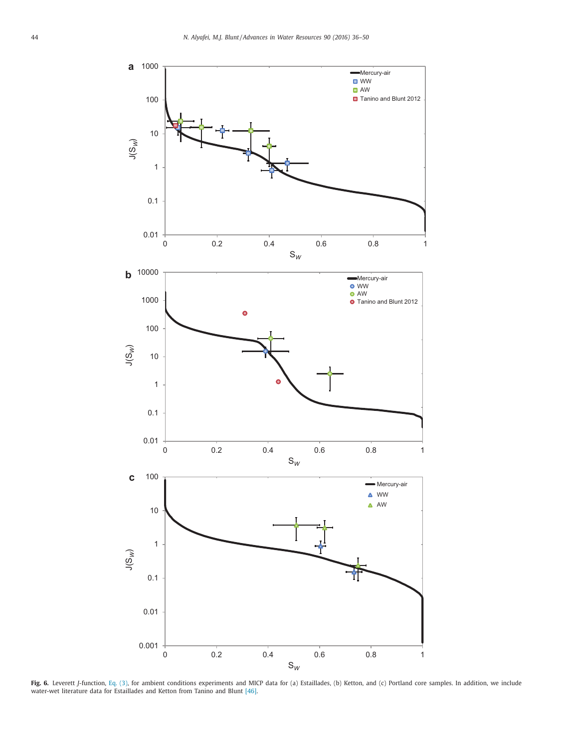<span id="page-8-0"></span>

**Fig. 6.** Leverett *J*-function, Eq. [\(3\),](#page-6-0) for ambient conditions experiments and MICP data for (a) Estaillades, (b) Ketton, and (c) Portland core samples. In addition, we include water-wet literature data for Estaillades and Ketton from Tanino and Blunt [\[46\].](#page-14-0)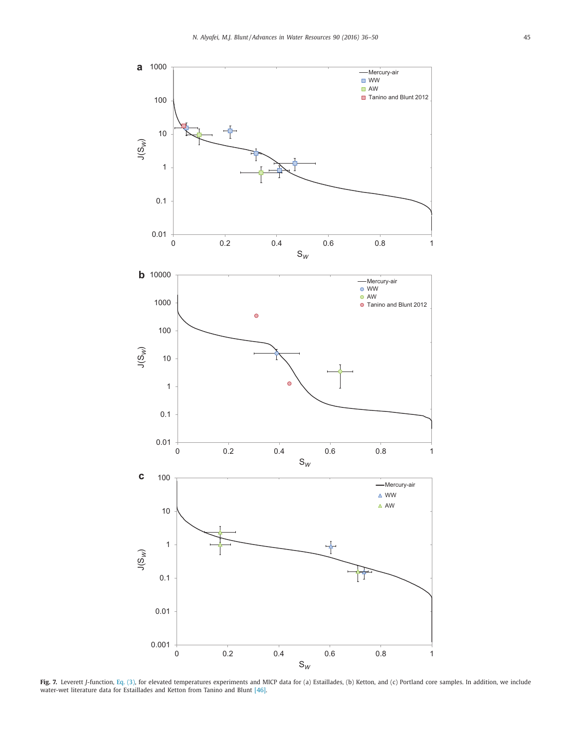<span id="page-9-0"></span>

**Fig. 7.** Leverett *J*-function, Eq. [\(3\),](#page-6-0) for elevated temperatures experiments and MICP data for (a) Estaillades, (b) Ketton, and (c) Portland core samples. In addition, we include water-wet literature data for Estaillades and Ketton from Tanino and Blunt [\[46\].](#page-14-0)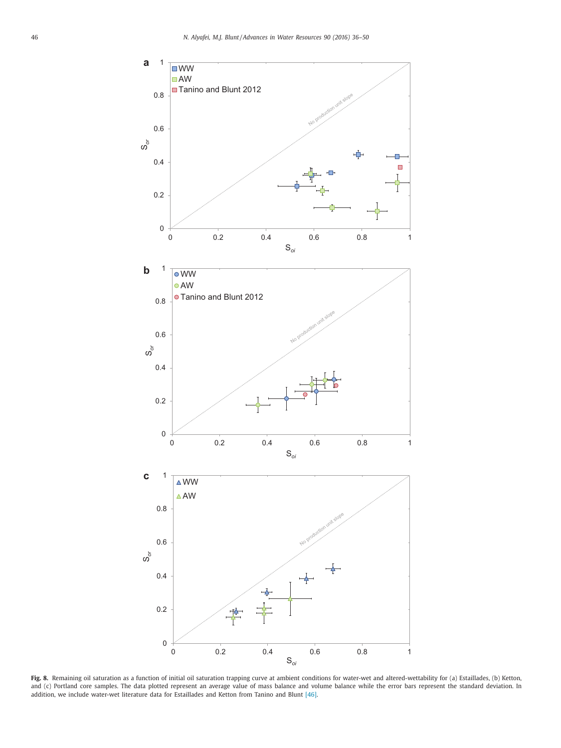<span id="page-10-0"></span>

Fig. 8. Remaining oil saturation as a function of initial oil saturation trapping curve at ambient conditions for water-wet and altered-wettability for (a) Estaillades, (b) Ketton, and (c) Portland core samples. The data plotted represent an average value of mass balance and volume balance while the error bars represent the standard deviation. In addition, we include water-wet literature data for Estaillades and Ketton from Tanino and Blunt [\[46\].](#page-14-0)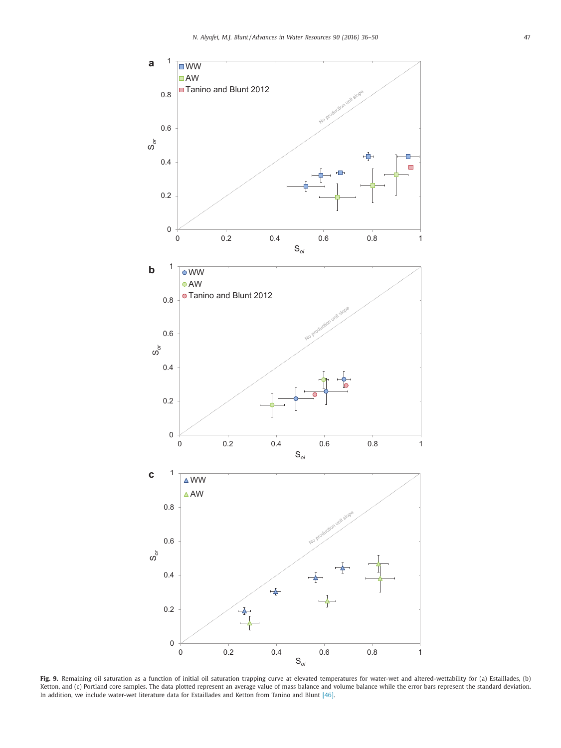<span id="page-11-0"></span>

**Fig. 9.** Remaining oil saturation as a function of initial oil saturation trapping curve at elevated temperatures for water-wet and altered-wettability for (a) Estaillades, (b) Ketton, and (c) Portland core samples. The data plotted represent an average value of mass balance and volume balance while the error bars represent the standard deviation. In addition, we include water-wet literature data for Estaillades and Ketton from Tanino and Blunt [\[46\].](#page-14-0)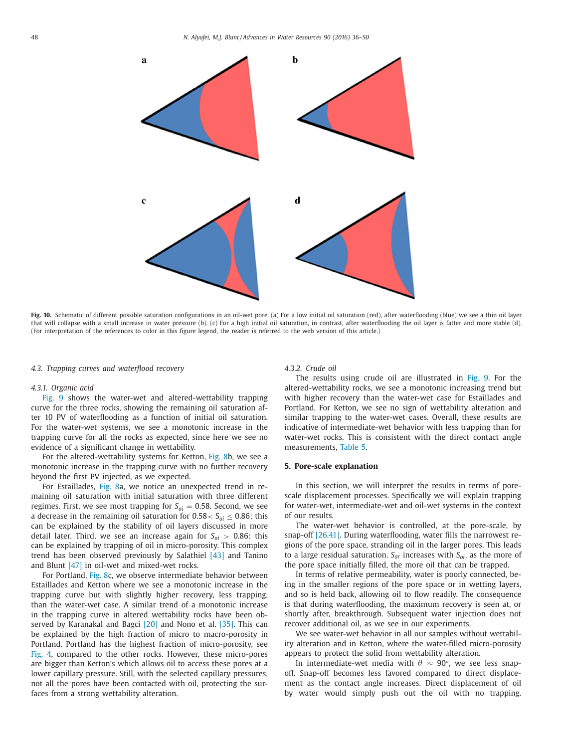<span id="page-12-0"></span>

Fig. 10. Schematic of different possible saturation configurations in an oil-wet pore. (a) For a low initial oil saturation (red), after waterflooding (blue) we see a thin oil layer that will collapse with a small increase in water pressure (b). (c) For a high initial oil saturation, in contrast, after waterflooding the oil layer is fatter and more stable (d). (For interpretation of the references to color in this figure legend, the reader is referred to the web version of this article.)

*4.3. Trapping curves and waterflood recovery*

#### *4.3.1. Organic acid*

[Fig.](#page-11-0) 9 shows the water-wet and altered-wettability trapping curve for the three rocks, showing the remaining oil saturation after 10 PV of waterflooding as a function of initial oil saturation. For the water-wet systems, we see a monotonic increase in the trapping curve for all the rocks as expected, since here we see no evidence of a significant change in wettability.

For the altered-wettability systems for Ketton, [Fig.](#page-10-0) 8b, we see a monotonic increase in the trapping curve with no further recovery beyond the first PV injected, as we expected.

For Estaillades, [Fig.](#page-10-0) 8a, we notice an unexpected trend in remaining oil saturation with initial saturation with three different regimes. First, we see most trapping for  $S_{oi} = 0.58$ . Second, we see a decrease in the remaining oil saturation for  $0.58 < S_{oi} \leq 0.86$ ; this can be explained by the stability of oil layers discussed in more detail later. Third, we see an increase again for  $S_{oi} > 0.86$ : this can be explained by trapping of oil in micro-porosity. This complex trend has been observed previously by Salathiel [\[43\]](#page-14-0) and Tanino and Blunt [\[47\]](#page-14-0) in oil-wet and mixed-wet rocks.

For Portland, [Fig.](#page-10-0) 8c, we observe intermediate behavior between Estaillades and Ketton where we see a monotonic increase in the trapping curve but with slightly higher recovery, less trapping, than the water-wet case. A similar trend of a monotonic increase in the trapping curve in altered wettability rocks have been observed by Karanakal and Bagci [\[20\]](#page-14-0) and Nono et al. [\[35\].](#page-14-0) This can be explained by the high fraction of micro to macro-porosity in Portland. Portland has the highest fraction of micro-porosity, see [Fig.](#page-3-0) 4, compared to the other rocks. However, these micro-pores are bigger than Ketton's which allows oil to access these pores at a lower capillary pressure. Still, with the selected capillary pressures, not all the pores have been contacted with oil, protecting the surfaces from a strong wettability alteration.

#### *4.3.2. Crude oil*

The results using crude oil are illustrated in [Fig.](#page-11-0) 9. For the altered-wettability rocks, we see a monotonic increasing trend but with higher recovery than the water-wet case for Estaillades and Portland. For Ketton, we see no sign of wettability alteration and similar trapping to the water-wet cases. Overall, these results are indicative of intermediate-wet behavior with less trapping than for water-wet rocks. This is consistent with the direct contact angle measurements, [Table](#page-6-0) 5.

# **5. Pore-scale explanation**

In this section, we will interpret the results in terms of porescale displacement processes. Specifically we will explain trapping for water-wet, intermediate-wet and oil-wet systems in the context of our results.

The water-wet behavior is controlled, at the pore-scale, by snap-off [\[26,41\].](#page-14-0) During waterflooding, water fills the narrowest regions of the pore space, stranding oil in the larger pores. This leads to a large residual saturation.  $S_{or}$  increases with  $S_{oi}$ , as the more of the pore space initially filled, the more oil that can be trapped.

In terms of relative permeability, water is poorly connected, being in the smaller regions of the pore space or in wetting layers, and so is held back, allowing oil to flow readily. The consequence is that during waterflooding, the maximum recovery is seen at, or shortly after, breakthrough. Subsequent water injection does not recover additional oil, as we see in our experiments.

We see water-wet behavior in all our samples without wettability alteration and in Ketton, where the water-filled micro-porosity appears to protect the solid from wettability alteration.

In intermediate-wet media with  $\theta \approx 90^{\circ}$ , we see less snapoff. Snap-off becomes less favored compared to direct displacement as the contact angle increases. Direct displacement of oil by water would simply push out the oil with no trapping.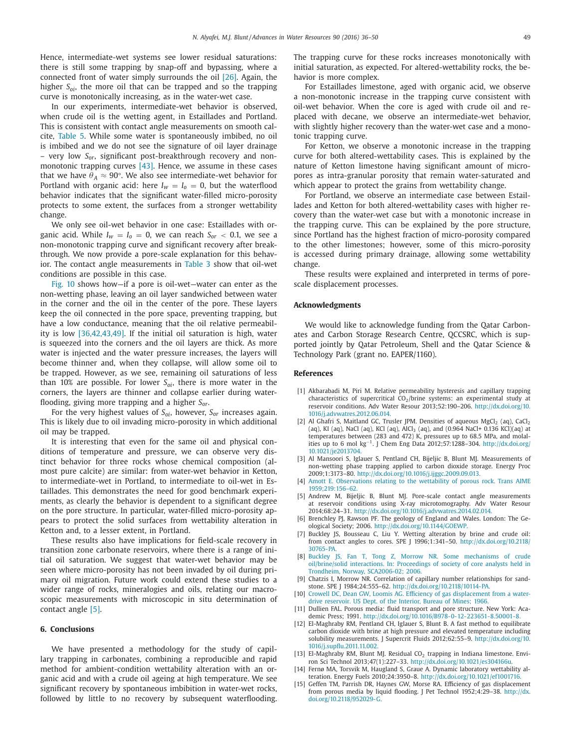<span id="page-13-0"></span>Hence, intermediate-wet systems see lower residual saturations: there is still some trapping by snap-off and bypassing, where a connected front of water simply surrounds the oil [\[26\].](#page-14-0) Again, the higher *Soi*, the more oil that can be trapped and so the trapping curve is monotonically increasing, as in the water-wet case.

In our experiments, intermediate-wet behavior is observed, when crude oil is the wetting agent, in Estaillades and Portland. This is consistent with contact angle measurements on smooth calcite, [Table](#page-6-0) 5. While some water is spontaneously imbibed, no oil is imbibed and we do not see the signature of oil layer drainage – very low *Sor*, significant post-breakthrough recovery and nonmonotonic trapping curves  $[43]$ . Hence, we assume in these cases that we have  $\theta_A \approx 90^\circ$ . We also see intermediate-wet behavior for Portland with organic acid: here  $I_w = I_0 = 0$ , but the waterflood behavior indicates that the significant water-filled micro-porosity protects to some extent, the surfaces from a stronger wettability change.

We only see oil-wet behavior in one case: Estaillades with organic acid. While  $I_w = I_0 = 0$ , we can reach  $S_{or} < 0.1$ , we see a non-monotonic trapping curve and significant recovery after breakthrough. We now provide a pore-scale explanation for this behavior. The contact angle measurements in [Table](#page-5-0) 3 show that oil-wet conditions are possible in this case.

[Fig.](#page-12-0) 10 shows how—if a pore is oil-wet—water can enter as the non-wetting phase, leaving an oil layer sandwiched between water in the corner and the oil in the center of the pore. These layers keep the oil connected in the pore space, preventing trapping, but have a low conductance, meaning that the oil relative permeability is low [\[36,42,43,49\].](#page-14-0) If the initial oil saturation is high, water is squeezed into the corners and the oil layers are thick. As more water is injected and the water pressure increases, the layers will become thinner and, when they collapse, will allow some oil to be trapped. However, as we see, remaining oil saturations of less than 10% are possible. For lower  $S_{0i}$ , there is more water in the corners, the layers are thinner and collapse earlier during waterflooding, giving more trapping and a higher *Sor*.

For the very highest values of *Soi*, however, *Sor* increases again. This is likely due to oil invading micro-porosity in which additional oil may be trapped.

It is interesting that even for the same oil and physical conditions of temperature and pressure, we can observe very distinct behavior for three rocks whose chemical composition (almost pure calcite) are similar: from water-wet behavior in Ketton, to intermediate-wet in Portland, to intermediate to oil-wet in Estaillades. This demonstrates the need for good benchmark experiments, as clearly the behavior is dependent to a significant degree on the pore structure. In particular, water-filled micro-porosity appears to protect the solid surfaces from wettability alteration in Ketton and, to a lesser extent, in Portland.

These results also have implications for field-scale recovery in transition zone carbonate reservoirs, where there is a range of initial oil saturation. We suggest that water-wet behavior may be seen where micro-porosity has not been invaded by oil during primary oil migration. Future work could extend these studies to a wider range of rocks, mineralogies and oils, relating our macroscopic measurements with microscopic in situ determination of contact angle [5].

# **6. Conclusions**

We have presented a methodology for the study of capillary trapping in carbonates, combining a reproducible and rapid method for ambient-condition wettability alteration with an organic acid and with a crude oil ageing at high temperature. We see significant recovery by spontaneous imbibition in water-wet rocks, followed by little to no recovery by subsequent waterflooding. The trapping curve for these rocks increases monotonically with initial saturation, as expected. For altered-wettability rocks, the behavior is more complex.

For Estaillades limestone, aged with organic acid, we observe a non-monotonic increase in the trapping curve consistent with oil-wet behavior. When the core is aged with crude oil and replaced with decane, we observe an intermediate-wet behavior, with slightly higher recovery than the water-wet case and a monotonic trapping curve.

For Ketton, we observe a monotonic increase in the trapping curve for both altered-wettability cases. This is explained by the nature of Ketton limestone having significant amount of micropores as intra-granular porosity that remain water-saturated and which appear to protect the grains from wettability change.

For Portland, we observe an intermediate case between Estaillades and Ketton for both altered-wettability cases with higher recovery than the water-wet case but with a monotonic increase in the trapping curve. This can be explained by the pore structure, since Portland has the highest fraction of micro-porosity compared to the other limestones; however, some of this micro-porosity is accessed during primary drainage, allowing some wettability change.

These results were explained and interpreted in terms of porescale displacement processes.

#### **Acknowledgments**

We would like to acknowledge funding from the Qatar Carbonates and Carbon Storage Research Centre, QCCSRC, which is supported jointly by Qatar Petroleum, Shell and the Qatar Science & Technology Park (grant no. EAPER/1160).

#### **References**

- [1] Akbarabadi M, Piri M. Relative permeability hysteresis and capillary trapping characteristics of supercritical  $CO<sub>2</sub>/br$ ine systems: an experimental study at reservoir conditions. Adv Water Resour 2013;52:190–206. http://dx.doi.org/10. [1016/j.advwatres.2012.06.014.](http://dx.doi.org/10.1016/j.advwatres.2012.06.014)
- [2] Al Ghafri S, Maitland GC, Trusler JPM. Densities of aqueous  $MgCl<sub>2</sub>$  (aq), CaCl<sub>2</sub> (aq), KI (aq), NaCl (aq), KCl (aq), AlCl<sub>3</sub> (aq), and (0.964 NaCl+ 0.136 KCl)(aq) at temperatures between (283 and 472) K, pressures up to 68.5 MPa, and molalities up to 6 mol kg−1. J Chem Eng Data 2012;57:1288–304. http://dx.doi.org/ [10.1021/je2013704.](http://dx.doi.org/10.1021/je2013704)
- [3] Al Mansoori S, Iglauer S, Pentland CH, Bijeljic B, Blunt MJ. Measurements of non-wetting phase trapping applied to carbon dioxide storage. Energy Proc 2009;1:3173–80. [http://dx.doi.org/10.1016/j.ijggc.2009.09.013.](http://dx.doi.org/10.1016/j.ijggc.2009.09.013)
- [4] [Amott](http://refhub.elsevier.com/S0309-1708(16)30010-0/sbref0004) E. Observations relating to the wettability of porous rock. Trans AIME 1959;219:156–62.
- [5] Andrew M, Bijeljic B, Blunt MJ. Pore-scale contact angle measurements at reservoir conditions using X-ray microtomography. Adv Water Resour 2014;68:24–31. [http://dx.doi.org/10.1016/j.advwatres.2014.02.014.](http://dx.doi.org/10.1016/j.advwatres.2014.02.014)
- [6] Brenchley PJ, Rawson PF. The geology of England and Wales. London: The Geological Society; 2006. [http://dx.doi.org/10.1144/GOEWP.](http://dx.doi.org/10.1144/GOEWP)
- [7] Buckley JS, Bousseau C, Liu Y. Wetting alteration by brine and crude oil: from contact angles to cores. SPE J 1996;1:341–50. [http://dx.doi.org/10.2118/](http://dx.doi.org/10.2118/30765-PA) 30765-PA.
- [8] [Buckley](http://refhub.elsevier.com/S0309-1708(16)30010-0/sbref0008) JS, [Fan](http://refhub.elsevier.com/S0309-1708(16)30010-0/sbref0008) T, [Tong](http://refhub.elsevier.com/S0309-1708(16)30010-0/sbref0008) Z, [Morrow](http://refhub.elsevier.com/S0309-1708(16)30010-0/sbref0008) NR. Some mechanisms of crude [oil/brine/solid](http://refhub.elsevier.com/S0309-1708(16)30010-0/sbref0008) interactions. In: Proceedings of society of core analysts held in Trondheim, Norway, SCA2006-02; 2006.
- [9] Chatzis I, Morrow NR. Correlation of capillary number relationships for sandstone. SPE J 1984;24:555–62. [http://dx.doi.org/10.2118/10114-PA.](http://dx.doi.org/10.2118/10114-PA)
- [10] [Crowell](http://refhub.elsevier.com/S0309-1708(16)30010-0/sbref0010) DC, [Dean](http://refhub.elsevier.com/S0309-1708(16)30010-0/sbref0010) GW, [Loomis](http://refhub.elsevier.com/S0309-1708(16)30010-0/sbref0010) AG. Efficiency of gas displacement from a waterdrive reservoir. US Dept. of the Interior, Bureau of Mines; 1966.
- [11] Dullien FAL. Porous media: fluid transport and pore structure. New York: Academic Press; 1991. [http://dx.doi.org/10.1016/B978-0-12-223651-8.50001-8.](http://dx.doi.org/10.1016/B978-0-12-223651-8.50001-8)
- [12] El-Maghraby RM, Pentland CH, Iglauer S, Blunt B, A fast method to equilibrate carbon dioxide with brine at high pressure and elevated temperature including solubility measurements. J Supercrit Fluids 2012;62:55–9. http://dx.doi.org/10. [1016/j.supflu.2011.11.002.](http://dx.doi.org/10.1016/j.supflu.2011.11.002)
- [13] El-Maghraby RM, Blunt MJ. Residual CO<sub>2</sub> trapping in Indiana limestone. Environ Sci Technol 2013;47(1):227–33. [http://dx.doi.org/10.1021/es304166u.](http://dx.doi.org/10.1021/es304166u)
- [14] Fernø MA, Torsvik M, Haugland S, Graue A. Dynamic laboratory wettability alteration. Energy Fuels 2010;24:3950–8. [http://dx.doi.org/10.1021/ef1001716.](http://dx.doi.org/10.1021/ef1001716)
- [15] Geffen TM, Parrish DR, Haynes GW, Morse RA. Efficiency of gas displacement from porous media by liquid flooding. J Pet Technol 1952;4:29-38. http://dx. [doi.org/10.2118/952029-G.](http://dx.doi.org/10.2118/952029-G)